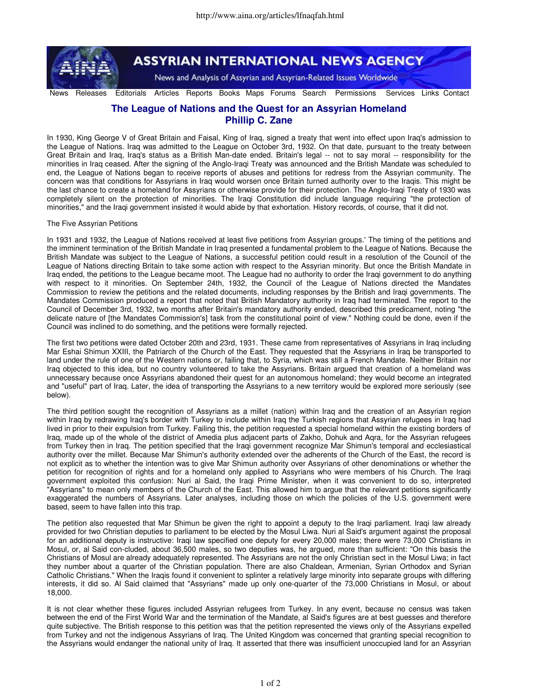

**ASSYRIAN INTERNATIONAL NEWS AGENCY** 

News and Analysis of Assyrian and Assyrian-Related Issues Worldwide

News Releases Editorials Articles Reports Books Maps Forums Search Permissions Services Links Contact

## **The League of Nations and the Quest for an Assyrian Homeland Phillip C. Zane**

In 1930, King George V of Great Britain and Faisal, King of Iraq, signed a treaty that went into effect upon Iraq's admission to the League of Nations. Iraq was admitted to the League on October 3rd, 1932. On that date, pursuant to the treaty between Great Britain and Iraq, Iraq's status as a British Man-date ended. Britain's legal -- not to say moral -- responsibility for the minorities in Iraq ceased. After the signing of the Anglo-Iraqi Treaty was announced and the British Mandate was scheduled to end, the League of Nations began to receive reports of abuses and petitions for redress from the Assyrian community. The concern was that conditions for Assyrians in Iraq would worsen once Britain turned authority over to the Iraqis. This might be the last chance to create a homeland for Assyrians or otherwise provide for their protection. The Anglo-Iraqi Treaty of 1930 was completely silent on the protection of minorities. The Iraqi Constitution did include language requiring "the protection of minorities," and the Iraqi government insisted it would abide by that exhortation. History records, of course, that it did not.

## The Five Assyrian Petitions

In 1931 and 1932, the League of Nations received at least five petitions from Assyrian groups.' The timing of the petitions and the imminent termination of the British Mandate in Iraq presented a fundamental problem to the League of Nations. Because the British Mandate was subject to the League of Nations, a successful petition could result in a resolution of the Council of the League of Nations directing Britain to take some action with respect to the Assyrian minority. But once the British Mandate in Iraq ended, the petitions to the League became moot. The League had no authority to order the Iraqi government to do anything with respect to it minorities. On September 24th, 1932, the Council of the League of Nations directed the Mandates Commission to review the petitions and the related documents, including responses by the British and Iraqi governments. The Mandates Commission produced a report that noted that British Mandatory authority in Iraq had terminated. The report to the Council of December 3rd, 1932, two months after Britain's mandatory authority ended, described this predicament, noting "the delicate nature of [the Mandates Commission's] task from the constitutional point of view." Nothing could be done, even if the Council was inclined to do something, and the petitions were formally rejected.

The first two petitions were dated October 20th and 23rd, 1931. These came from representatives of Assyrians in Iraq including Mar Eshai Shimun XXIII, the Patriarch of the Church of the East. They requested that the Assyrians in Iraq be transported to land under the rule of one of the Western nations or, failing that, to Syria, which was still a French Mandate. Neither Britain nor Iraq objected to this idea, but no country volunteered to take the Assyrians. Britain argued that creation of a homeland was unnecessary because once Assyrians abandoned their quest for an autonomous homeland; they would become an integrated and "useful" part of Iraq. Later, the idea of transporting the Assyrians to a new territory would be explored more seriously (see below).

The third petition sought the recognition of Assyrians as a millet (nation) within Iraq and the creation of an Assyrian region within Iraq by redrawing Iraq's border with Turkey to include within Iraq the Turkish regions that Assyrian refugees in Iraq had lived in prior to their expulsion from Turkey. Failing this, the petition requested a special homeland within the existing borders of Iraq, made up of the whole of the district of Amedia plus adjacent parts of Zakho, Dohuk and Aqra, for the Assyrian refugees from Turkey then in Iraq. The petition specified that the Iraqi government recognize Mar Shimun's temporal and ecclesiastical authority over the millet. Because Mar Shimun's authority extended over the adherents of the Church of the East, the record is not explicit as to whether the intention was to give Mar Shimun authority over Assyrians of other denominations or whether the petition for recognition of rights and for a homeland only applied to Assyrians who were members of his Church. The Iraqi government exploited this confusion: Nuri al Said, the Iraqi Prime Minister, when it was convenient to do so, interpreted "Assyrians" to mean only members of the Church of the East. This allowed him to argue that the relevant petitions significantly exaggerated the numbers of Assyrians. Later analyses, including those on which the policies of the U.S. government were based, seem to have fallen into this trap.

The petition also requested that Mar Shimun be given the right to appoint a deputy to the Iraqi parliament. Iraqi law already provided for two Christian deputies to parliament to be elected by the Mosul Liwa. Nuri al Said's argument against the proposal for an additional deputy is instructive: Iraqi law specified one deputy for every 20,000 males; there were 73,000 Christians in Mosul, or, al Said con-cluded, about 36,500 males, so two deputies was, he argued, more than sufficient: "On this basis the Christians of Mosul are already adequately represented. The Assyrians are not the only Christian sect in the Mosul Liwa; in fact they number about a quarter of the Christian population. There are also Chaldean, Armenian, Syrian Orthodox and Syrian Catholic Christians." When the Iraqis found it convenient to splinter a relatively large minority into separate groups with differing interests, it did so. Al Said claimed that "Assyrians" made up only one-quarter of the 73,000 Christians in Mosul, or about 18,000.

It is not clear whether these figures included Assyrian refugees from Turkey. In any event, because no census was taken between the end of the First World War and the termination of the Mandate, al Said's figures are at best guesses and therefore quite subjective. The British response to this petition was that the petition represented the views only of the Assyrians expelled from Turkey and not the indigenous Assyrians of Iraq. The United Kingdom was concerned that granting special recognition to the Assyrians would endanger the national unity of Iraq. It asserted that there was insufficient unoccupied land for an Assyrian